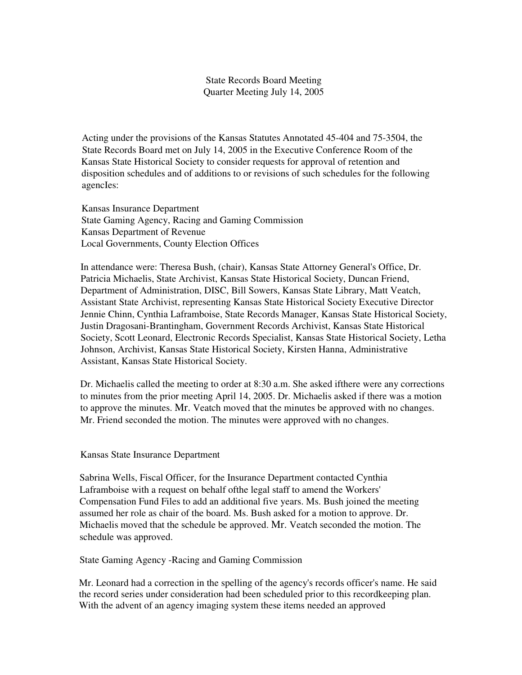State Records Board Meeting Quarter Meeting July 14, 2005

Acting under the provisions of the Kansas Statutes Annotated 45-404 and 75-3504, the State Records Board met on July 14, 2005 in the Executive Conference Room of the Kansas State Historical Society to consider requests for approval of retention and disposition schedules and of additions to or revisions of such schedules for the following agencIes:

Kansas Insurance Department State Gaming Agency, Racing and Gaming Commission Kansas Department of Revenue Local Governments, County Election Offices

In attendance were: Theresa Bush, (chair), Kansas State Attorney General's Office, Dr. Patricia Michaelis, State Archivist, Kansas State Historical Society, Duncan Friend, Department of Administration, DISC, Bill Sowers, Kansas State Library, Matt Veatch, Assistant State Archivist, representing Kansas State Historical Society Executive Director Jennie Chinn, Cynthia Laframboise, State Records Manager, Kansas State Historical Society, Justin Dragosani-Brantingham, Government Records Archivist, Kansas State Historical Society, Scott Leonard, Electronic Records Specialist, Kansas State Historical Society, Letha Johnson, Archivist, Kansas State Historical Society, Kirsten Hanna, Administrative Assistant, Kansas State Historical Society.

Dr. Michaelis called the meeting to order at 8:30 a.m. She asked ifthere were any corrections to minutes from the prior meeting April 14, 2005. Dr. Michaelis asked if there was a motion to approve the minutes. Mr. Veatch moved that the minutes be approved with no changes. Mr. Friend seconded the motion. The minutes were approved with no changes.

Kansas State Insurance Department

Sabrina Wells, Fiscal Officer, for the Insurance Department contacted Cynthia Laframboise with a request on behalf ofthe legal staff to amend the Workers' Compensation Fund Files to add an additional five years. Ms. Bush joined the meeting assumed her role as chair of the board. Ms. Bush asked for a motion to approve. Dr. Michaelis moved that the schedule be approved. Mr. Veatch seconded the motion. The schedule was approved.

State Gaming Agency -Racing and Gaming Commission

Mr. Leonard had a correction in the spelling of the agency's records officer's name. He said the record series under consideration had been scheduled prior to this recordkeeping plan. With the advent of an agency imaging system these items needed an approved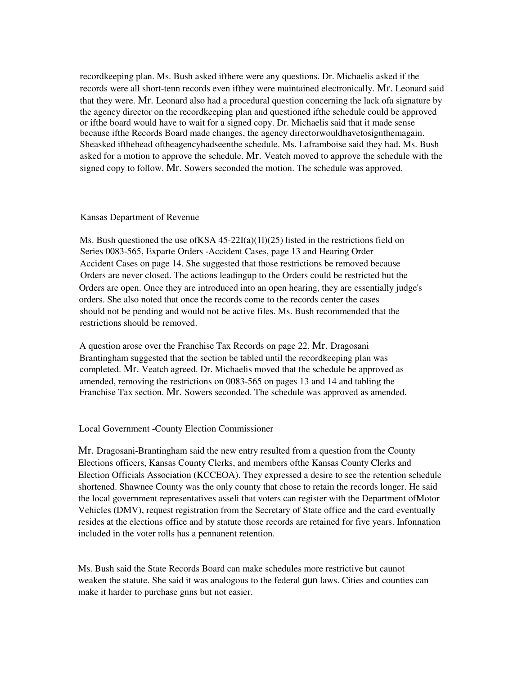recordkeeping plan. Ms. Bush asked ifthere were any questions. Dr. Michaelis asked if the records were all short-tenn records even ifthey were maintained electronically. Mr. Leonard said that they were. Mr. Leonard also had a procedural question concerning the lack ofa signature by the agency director on the recordkeeping plan and questioned ifthe schedule could be approved or ifthe board would have to wait for a signed copy. Dr. Michaelis said that it made sense because ifthe Records Board made changes, the agency directorwouldhavetosignthemagain. Sheasked ifthehead oftheagencyhadseenthe schedule. Ms. Laframboise said they had. Ms. Bush asked for a motion to approve the schedule. Mr. Veatch moved to approve the schedule with the signed copy to follow. Mr. Sowers seconded the motion. The schedule was approved.

## Kansas Department of Revenue

Ms. Bush questioned the use of KSA  $45-22I(a)(11)(25)$  listed in the restrictions field on Series 0083-565, Exparte Orders -Accident Cases, page 13 and Hearing Order Accident Cases on page 14. She suggested that those restrictions be removed because Orders are never closed. The actions leadingup to the Orders could be restricted but the Orders are open. Once they are introduced into an open hearing, they are essentially judge's orders. She also noted that once the records come to the records center the cases should not be pending and would not be active files. Ms. Bush recommended that the restrictions should be removed.

A question arose over the Franchise Tax Records on page 22. Mr. Dragosani Brantingham suggested that the section be tabled until the recordkeeping plan was completed. Mr. Veatch agreed. Dr. Michaelis moved that the schedule be approved as amended, removing the restrictions on 0083-565 on pages 13 and 14 and tabling the Franchise Tax section. Mr. Sowers seconded. The schedule was approved as amended.

## Local Government -County Election Commissioner

Mr. Dragosani-Brantingham said the new entry resulted from a question from the County Elections officers, Kansas County Clerks, and members ofthe Kansas County Clerks and Election Officials Association (KCCEOA). They expressed a desire to see the retention schedule shortened. Shawnee County was the only county that chose to retain the records longer. He said the local government representatives asseli that voters can register with the Department ofMotor Vehicles (DMV), request registration from the Secretary of State office and the card eventually resides at the elections office and by statute those records are retained for five years. Infonnation included in the voter rolls has a pennanent retention.

Ms. Bush said the State Records Board can make schedules more restrictive but caunot weaken the statute. She said it was analogous to the federal gun laws. Cities and counties can make it harder to purchase gnns but not easier.